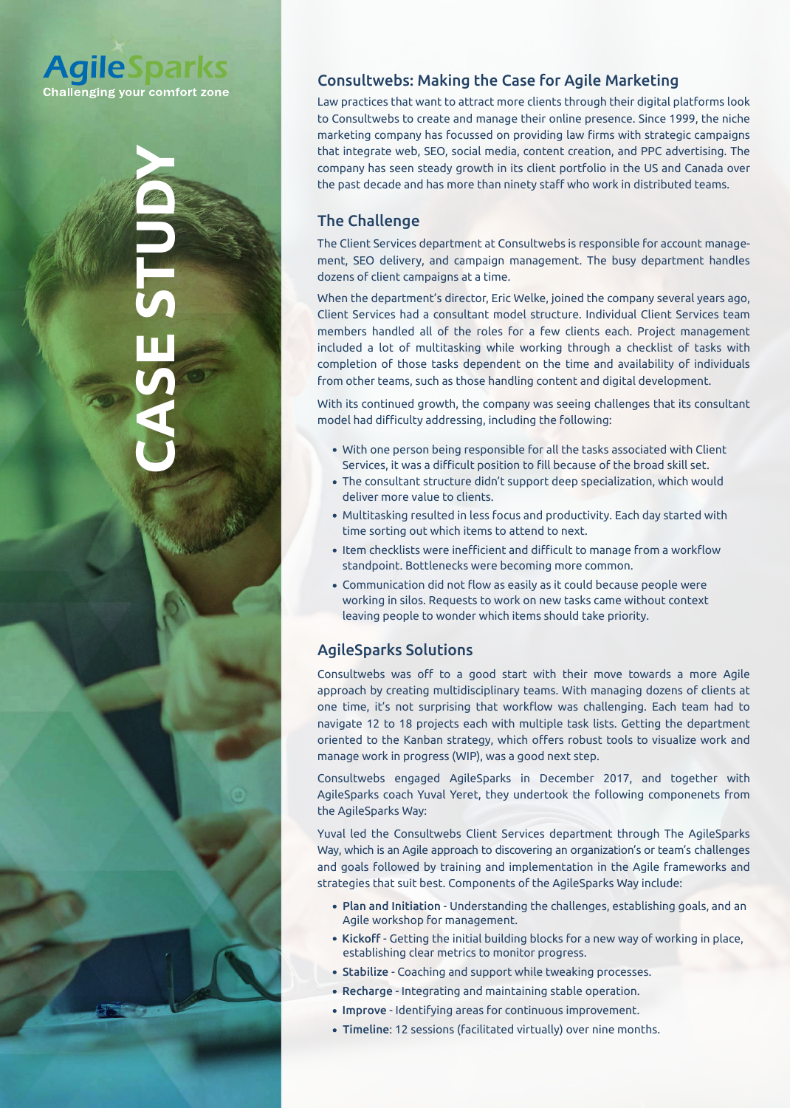## **AgileSparks Challenging your comfort zone**

# **CASE STUDY**

### Consultwebs: Making the Case for Agile Marketing

Law practices that want to attract more clients through their digital platforms look to Consultwebs to create and manage their online presence. Since 1999, the niche marketing company has focussed on providing law firms with strategic campaigns that integrate web, SEO, social media, content creation, and PPC advertising. The company has seen steady growth in its client portfolio in the US and Canada over the past decade and has more than ninety staff who work in distributed teams.

### The Challenge

The Client Services department at Consultwebs is responsible for account manage ment, SEO delivery, and campaign management. The busy department handles dozens of client campaigns at a t

When the department's director, Eric Welke, joined the company several years ago, Client Services had a consultant model structure. Individual Client Services members handled all of the roles for a few clients each. Project included a lot of multitasking while working through a check completion of those tasks dependent on the time and availability of individuals from other teams, such as those handling content and digital development

With its continued growth, the company was seeing challenges that its co model had difficulty addressing, including the following:

- With one person being responsible for all the tasks associated with Client Services, it was a difficult position to fill because of the broad skill set.
- . The consultant structure didn't support deep specialization, which would deliver more value to clients.
- Multitasking resulted in less focus and productivity. Each day started with time sorting out which items to attend to next
- Item checklists were inefficient and difficult to manage from a workflow standpoint. Bottlenecks were becoming more common.
- **Communication did not flow as easily as it could because people were** working in silos. Requests to work on new tasks came without context leaving people to wonder which items should take priority.

### AgileSparks Solutions

Consultwebs was off to a good start with their move towards a more Agile approach by creating multidisciplinary teams. With managing dozens of clients at one time, it's not surprising that workflow was challenging. Each team had to navigate 12 to 18 projects each with multiple task lists. Getting the department oriented to the Kanban strategy, which offers robust tools to visualize work and manage work in progress (WIP), was a good next step.

Consultwebs engaged AgileSparks in December 2017, and together with AgileSparks coach Yuval Yeret, they undertook the following componenets from the AgileSparks Way:

Yuval led the Consultwebs Client Services department through The AgileSpa Way, which is an Agile approach to discovering an organization's or team's challen and goals followed by training and implementation in the Agile frameworks strategies that suit best. Components of the AgileSparks Way include:

- Plan and Initiation Understanding the challenges, establishing goals, and Agile workshop for management
- **Kick**off Getting the initial building blocks for a new way of working in place establishing clear metrics to monitor progress.
	- **Stabilize** Coaching and support while tweaking processes.
	- **Recharge** Integrating and maintaining stable operation.
	- Improve Identifying areas for continuous improvement.
	- **Timeline:** 12 sessions (facilitated virtually) over nine months.